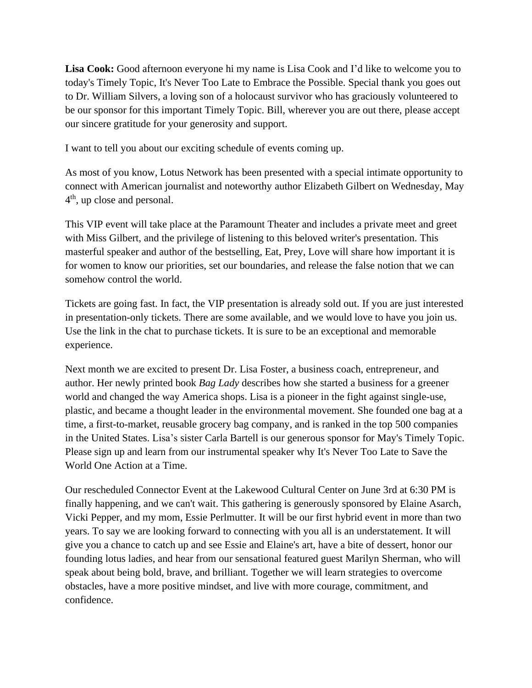**Lisa Cook:** Good afternoon everyone hi my name is Lisa Cook and I'd like to welcome you to today's Timely Topic, It's Never Too Late to Embrace the Possible. Special thank you goes out to Dr. William Silvers, a loving son of a holocaust survivor who has graciously volunteered to be our sponsor for this important Timely Topic. Bill, wherever you are out there, please accept our sincere gratitude for your generosity and support.

I want to tell you about our exciting schedule of events coming up.

As most of you know, Lotus Network has been presented with a special intimate opportunity to connect with American journalist and noteworthy author Elizabeth Gilbert on Wednesday, May 4 th , up close and personal.

This VIP event will take place at the Paramount Theater and includes a private meet and greet with Miss Gilbert, and the privilege of listening to this beloved writer's presentation. This masterful speaker and author of the bestselling, Eat, Prey, Love will share how important it is for women to know our priorities, set our boundaries, and release the false notion that we can somehow control the world.

Tickets are going fast. In fact, the VIP presentation is already sold out. If you are just interested in presentation-only tickets. There are some available, and we would love to have you join us. Use the link in the chat to purchase tickets. It is sure to be an exceptional and memorable experience.

Next month we are excited to present Dr. Lisa Foster, a business coach, entrepreneur, and author. Her newly printed book *Bag Lady* describes how she started a business for a greener world and changed the way America shops. Lisa is a pioneer in the fight against single-use, plastic, and became a thought leader in the environmental movement. She founded one bag at a time, a first-to-market, reusable grocery bag company, and is ranked in the top 500 companies in the United States. Lisa's sister Carla Bartell is our generous sponsor for May's Timely Topic. Please sign up and learn from our instrumental speaker why It's Never Too Late to Save the World One Action at a Time.

Our rescheduled Connector Event at the Lakewood Cultural Center on June 3rd at 6:30 PM is finally happening, and we can't wait. This gathering is generously sponsored by Elaine Asarch, Vicki Pepper, and my mom, Essie Perlmutter. It will be our first hybrid event in more than two years. To say we are looking forward to connecting with you all is an understatement. It will give you a chance to catch up and see Essie and Elaine's art, have a bite of dessert, honor our founding lotus ladies, and hear from our sensational featured guest Marilyn Sherman, who will speak about being bold, brave, and brilliant. Together we will learn strategies to overcome obstacles, have a more positive mindset, and live with more courage, commitment, and confidence.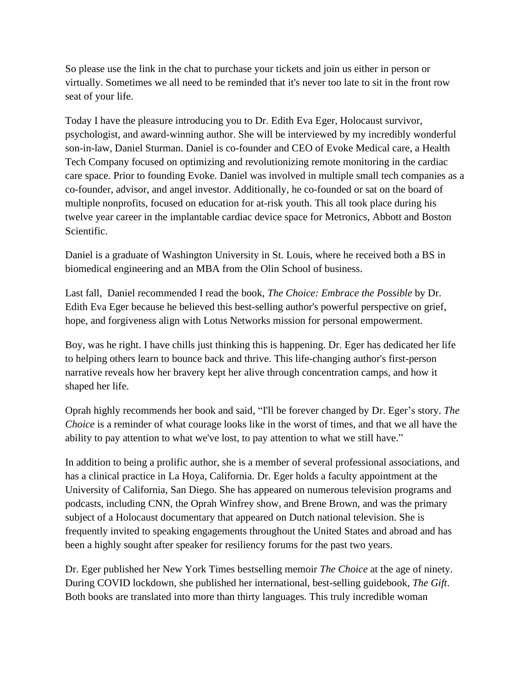So please use the link in the chat to purchase your tickets and join us either in person or virtually. Sometimes we all need to be reminded that it's never too late to sit in the front row seat of your life.

Today I have the pleasure introducing you to Dr. Edith Eva Eger, Holocaust survivor, psychologist, and award-winning author. She will be interviewed by my incredibly wonderful son-in-law, Daniel Sturman. Daniel is co-founder and CEO of Evoke Medical care, a Health Tech Company focused on optimizing and revolutionizing remote monitoring in the cardiac care space. Prior to founding Evoke. Daniel was involved in multiple small tech companies as a co-founder, advisor, and angel investor. Additionally, he co-founded or sat on the board of multiple nonprofits, focused on education for at-risk youth. This all took place during his twelve year career in the implantable cardiac device space for Metronics, Abbott and Boston Scientific.

Daniel is a graduate of Washington University in St. Louis, where he received both a BS in biomedical engineering and an MBA from the Olin School of business.

Last fall, Daniel recommended I read the book, *The Choice: Embrace the Possible* by Dr. Edith Eva Eger because he believed this best-selling author's powerful perspective on grief, hope, and forgiveness align with Lotus Networks mission for personal empowerment.

Boy, was he right. I have chills just thinking this is happening. Dr. Eger has dedicated her life to helping others learn to bounce back and thrive. This life-changing author's first-person narrative reveals how her bravery kept her alive through concentration camps, and how it shaped her life.

Oprah highly recommends her book and said, "I'll be forever changed by Dr. Eger's story. *The Choice* is a reminder of what courage looks like in the worst of times, and that we all have the ability to pay attention to what we've lost, to pay attention to what we still have."

In addition to being a prolific author, she is a member of several professional associations, and has a clinical practice in La Hoya, California. Dr. Eger holds a faculty appointment at the University of California, San Diego. She has appeared on numerous television programs and podcasts, including CNN, the Oprah Winfrey show, and Brene Brown, and was the primary subject of a Holocaust documentary that appeared on Dutch national television. She is frequently invited to speaking engagements throughout the United States and abroad and has been a highly sought after speaker for resiliency forums for the past two years.

Dr. Eger published her New York Times bestselling memoir *The Choice* at the age of ninety. During COVID lockdown, she published her international, best-selling guidebook, *The Gift*. Both books are translated into more than thirty languages. This truly incredible woman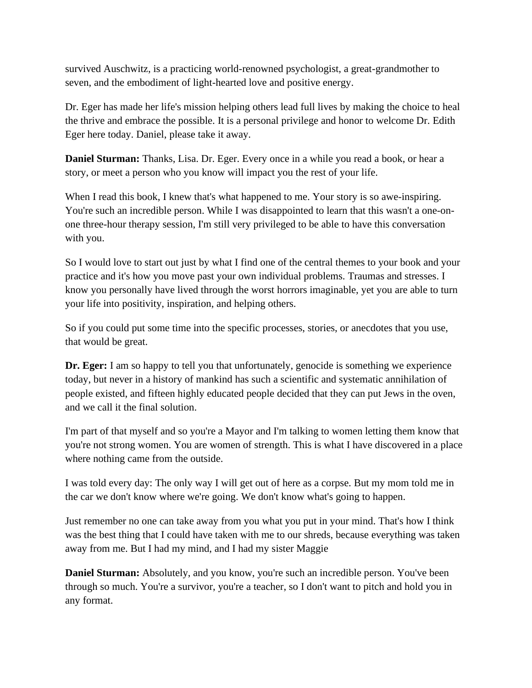survived Auschwitz, is a practicing world-renowned psychologist, a great-grandmother to seven, and the embodiment of light-hearted love and positive energy.

Dr. Eger has made her life's mission helping others lead full lives by making the choice to heal the thrive and embrace the possible. It is a personal privilege and honor to welcome Dr. Edith Eger here today. Daniel, please take it away.

**Daniel Sturman:** Thanks, Lisa. Dr. Eger. Every once in a while you read a book, or hear a story, or meet a person who you know will impact you the rest of your life.

When I read this book, I knew that's what happened to me. Your story is so awe-inspiring. You're such an incredible person. While I was disappointed to learn that this wasn't a one-onone three-hour therapy session, I'm still very privileged to be able to have this conversation with you.

So I would love to start out just by what I find one of the central themes to your book and your practice and it's how you move past your own individual problems. Traumas and stresses. I know you personally have lived through the worst horrors imaginable, yet you are able to turn your life into positivity, inspiration, and helping others.

So if you could put some time into the specific processes, stories, or anecdotes that you use, that would be great.

**Dr. Eger:** I am so happy to tell you that unfortunately, genocide is something we experience today, but never in a history of mankind has such a scientific and systematic annihilation of people existed, and fifteen highly educated people decided that they can put Jews in the oven, and we call it the final solution.

I'm part of that myself and so you're a Mayor and I'm talking to women letting them know that you're not strong women. You are women of strength. This is what I have discovered in a place where nothing came from the outside.

I was told every day: The only way I will get out of here as a corpse. But my mom told me in the car we don't know where we're going. We don't know what's going to happen.

Just remember no one can take away from you what you put in your mind. That's how I think was the best thing that I could have taken with me to our shreds, because everything was taken away from me. But I had my mind, and I had my sister Maggie

**Daniel Sturman:** Absolutely, and you know, you're such an incredible person. You've been through so much. You're a survivor, you're a teacher, so I don't want to pitch and hold you in any format.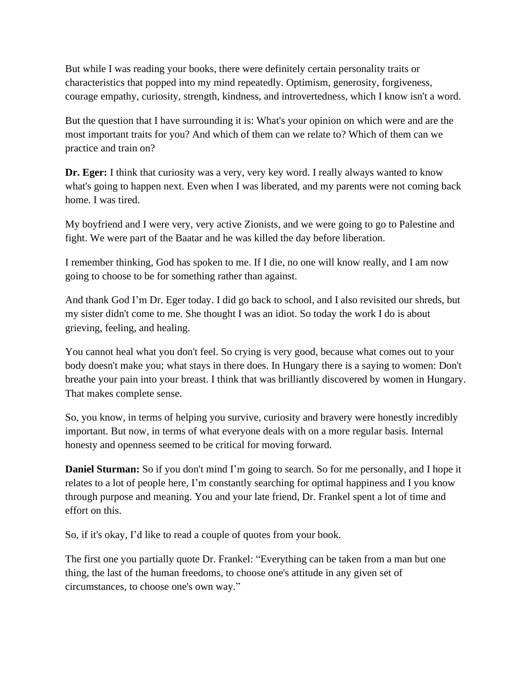But while I was reading your books, there were definitely certain personality traits or characteristics that popped into my mind repeatedly. Optimism, generosity, forgiveness, courage empathy, curiosity, strength, kindness, and introvertedness, which I know isn't a word.

But the question that I have surrounding it is: What's your opinion on which were and are the most important traits for you? And which of them can we relate to? Which of them can we practice and train on?

**Dr. Eger:** I think that curiosity was a very, very key word. I really always wanted to know what's going to happen next. Even when I was liberated, and my parents were not coming back home. I was tired.

My boyfriend and I were very, very active Zionists, and we were going to go to Palestine and fight. We were part of the Baatar and he was killed the day before liberation.

I remember thinking, God has spoken to me. If I die, no one will know really, and I am now going to choose to be for something rather than against.

And thank God I'm Dr. Eger today. I did go back to school, and I also revisited our shreds, but my sister didn't come to me. She thought I was an idiot. So today the work I do is about grieving, feeling, and healing.

You cannot heal what you don't feel. So crying is very good, because what comes out to your body doesn't make you; what stays in there does. In Hungary there is a saying to women: Don't breathe your pain into your breast. I think that was brilliantly discovered by women in Hungary. That makes complete sense.

So, you know, in terms of helping you survive, curiosity and bravery were honestly incredibly important. But now, in terms of what everyone deals with on a more regular basis. Internal honesty and openness seemed to be critical for moving forward.

**Daniel Sturman:** So if you don't mind I'm going to search. So for me personally, and I hope it relates to a lot of people here, I'm constantly searching for optimal happiness and I you know through purpose and meaning. You and your late friend, Dr. Frankel spent a lot of time and effort on this.

So, if it's okay, I'd like to read a couple of quotes from your book.

The first one you partially quote Dr. Frankel: "Everything can be taken from a man but one thing, the last of the human freedoms, to choose one's attitude in any given set of circumstances, to choose one's own way."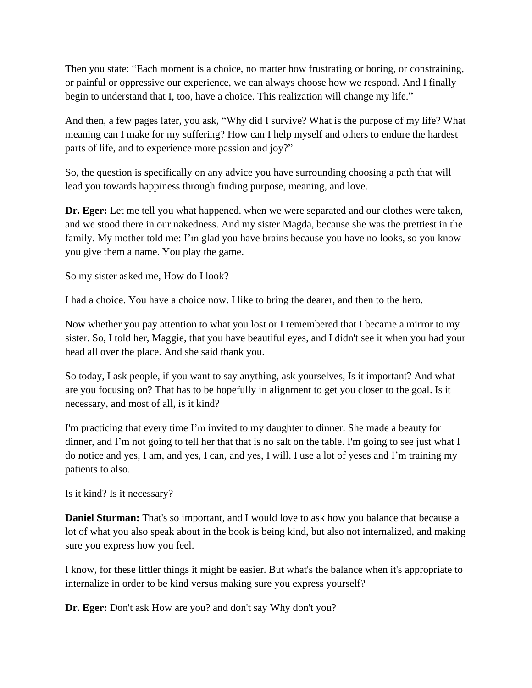Then you state: "Each moment is a choice, no matter how frustrating or boring, or constraining, or painful or oppressive our experience, we can always choose how we respond. And I finally begin to understand that I, too, have a choice. This realization will change my life."

And then, a few pages later, you ask, "Why did I survive? What is the purpose of my life? What meaning can I make for my suffering? How can I help myself and others to endure the hardest parts of life, and to experience more passion and joy?"

So, the question is specifically on any advice you have surrounding choosing a path that will lead you towards happiness through finding purpose, meaning, and love.

Dr. Eger: Let me tell you what happened. when we were separated and our clothes were taken, and we stood there in our nakedness. And my sister Magda, because she was the prettiest in the family. My mother told me: I'm glad you have brains because you have no looks, so you know you give them a name. You play the game.

So my sister asked me, How do I look?

I had a choice. You have a choice now. I like to bring the dearer, and then to the hero.

Now whether you pay attention to what you lost or I remembered that I became a mirror to my sister. So, I told her, Maggie, that you have beautiful eyes, and I didn't see it when you had your head all over the place. And she said thank you.

So today, I ask people, if you want to say anything, ask yourselves, Is it important? And what are you focusing on? That has to be hopefully in alignment to get you closer to the goal. Is it necessary, and most of all, is it kind?

I'm practicing that every time I'm invited to my daughter to dinner. She made a beauty for dinner, and I'm not going to tell her that that is no salt on the table. I'm going to see just what I do notice and yes, I am, and yes, I can, and yes, I will. I use a lot of yeses and I'm training my patients to also.

Is it kind? Is it necessary?

**Daniel Sturman:** That's so important, and I would love to ask how you balance that because a lot of what you also speak about in the book is being kind, but also not internalized, and making sure you express how you feel.

I know, for these littler things it might be easier. But what's the balance when it's appropriate to internalize in order to be kind versus making sure you express yourself?

**Dr. Eger:** Don't ask How are you? and don't say Why don't you?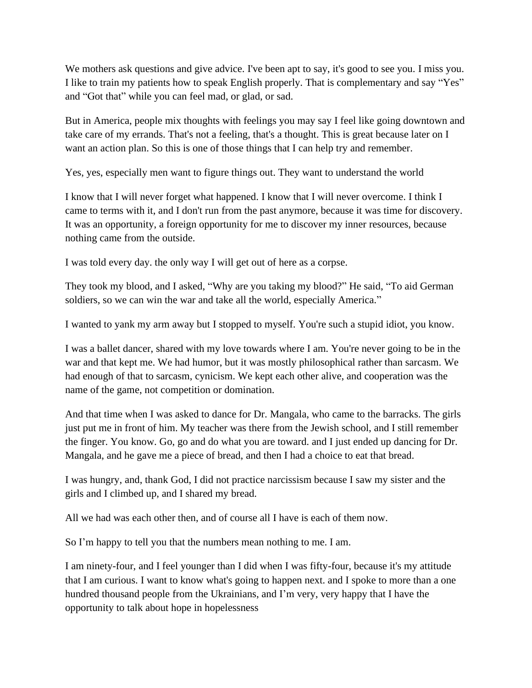We mothers ask questions and give advice. I've been apt to say, it's good to see you. I miss you. I like to train my patients how to speak English properly. That is complementary and say "Yes" and "Got that" while you can feel mad, or glad, or sad.

But in America, people mix thoughts with feelings you may say I feel like going downtown and take care of my errands. That's not a feeling, that's a thought. This is great because later on I want an action plan. So this is one of those things that I can help try and remember.

Yes, yes, especially men want to figure things out. They want to understand the world

I know that I will never forget what happened. I know that I will never overcome. I think I came to terms with it, and I don't run from the past anymore, because it was time for discovery. It was an opportunity, a foreign opportunity for me to discover my inner resources, because nothing came from the outside.

I was told every day. the only way I will get out of here as a corpse.

They took my blood, and I asked, "Why are you taking my blood?" He said, "To aid German soldiers, so we can win the war and take all the world, especially America."

I wanted to yank my arm away but I stopped to myself. You're such a stupid idiot, you know.

I was a ballet dancer, shared with my love towards where I am. You're never going to be in the war and that kept me. We had humor, but it was mostly philosophical rather than sarcasm. We had enough of that to sarcasm, cynicism. We kept each other alive, and cooperation was the name of the game, not competition or domination.

And that time when I was asked to dance for Dr. Mangala, who came to the barracks. The girls just put me in front of him. My teacher was there from the Jewish school, and I still remember the finger. You know. Go, go and do what you are toward. and I just ended up dancing for Dr. Mangala, and he gave me a piece of bread, and then I had a choice to eat that bread.

I was hungry, and, thank God, I did not practice narcissism because I saw my sister and the girls and I climbed up, and I shared my bread.

All we had was each other then, and of course all I have is each of them now.

So I'm happy to tell you that the numbers mean nothing to me. I am.

I am ninety-four, and I feel younger than I did when I was fifty-four, because it's my attitude that I am curious. I want to know what's going to happen next. and I spoke to more than a one hundred thousand people from the Ukrainians, and I'm very, very happy that I have the opportunity to talk about hope in hopelessness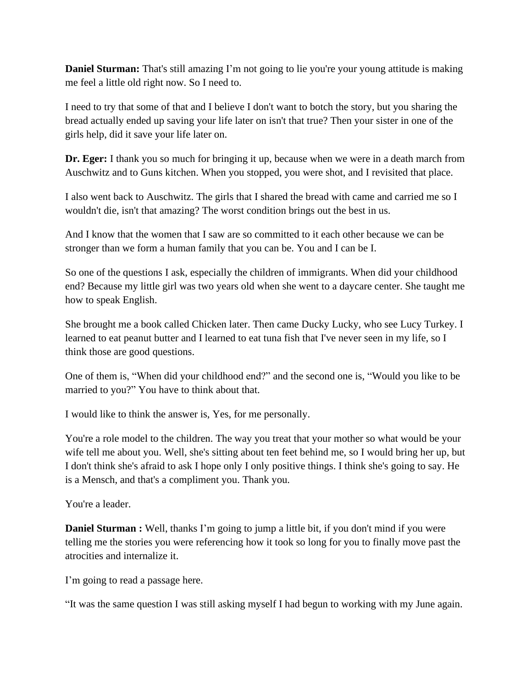**Daniel Sturman:** That's still amazing I'm not going to lie you're your young attitude is making me feel a little old right now. So I need to.

I need to try that some of that and I believe I don't want to botch the story, but you sharing the bread actually ended up saving your life later on isn't that true? Then your sister in one of the girls help, did it save your life later on.

**Dr. Eger:** I thank you so much for bringing it up, because when we were in a death march from Auschwitz and to Guns kitchen. When you stopped, you were shot, and I revisited that place.

I also went back to Auschwitz. The girls that I shared the bread with came and carried me so I wouldn't die, isn't that amazing? The worst condition brings out the best in us.

And I know that the women that I saw are so committed to it each other because we can be stronger than we form a human family that you can be. You and I can be I.

So one of the questions I ask, especially the children of immigrants. When did your childhood end? Because my little girl was two years old when she went to a daycare center. She taught me how to speak English.

She brought me a book called Chicken later. Then came Ducky Lucky, who see Lucy Turkey. I learned to eat peanut butter and I learned to eat tuna fish that I've never seen in my life, so I think those are good questions.

One of them is, "When did your childhood end?" and the second one is, "Would you like to be married to you?" You have to think about that.

I would like to think the answer is, Yes, for me personally.

You're a role model to the children. The way you treat that your mother so what would be your wife tell me about you. Well, she's sitting about ten feet behind me, so I would bring her up, but I don't think she's afraid to ask I hope only I only positive things. I think she's going to say. He is a Mensch, and that's a compliment you. Thank you.

You're a leader.

**Daniel Sturman :** Well, thanks I'm going to jump a little bit, if you don't mind if you were telling me the stories you were referencing how it took so long for you to finally move past the atrocities and internalize it.

I'm going to read a passage here.

"It was the same question I was still asking myself I had begun to working with my June again.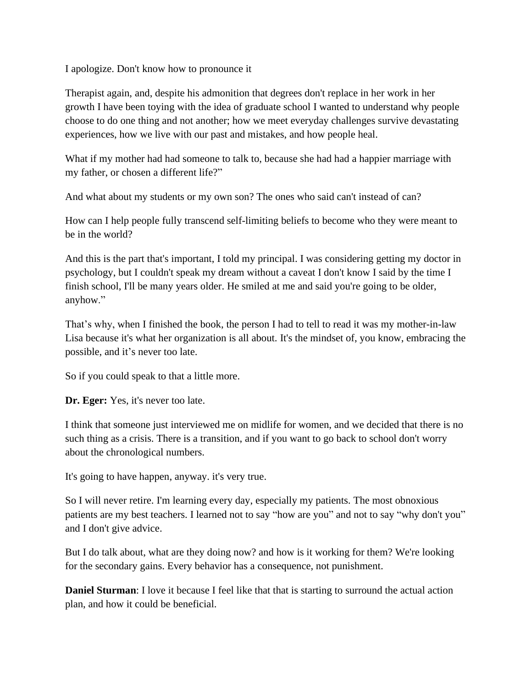I apologize. Don't know how to pronounce it

Therapist again, and, despite his admonition that degrees don't replace in her work in her growth I have been toying with the idea of graduate school I wanted to understand why people choose to do one thing and not another; how we meet everyday challenges survive devastating experiences, how we live with our past and mistakes, and how people heal.

What if my mother had had someone to talk to, because she had had a happier marriage with my father, or chosen a different life?"

And what about my students or my own son? The ones who said can't instead of can?

How can I help people fully transcend self-limiting beliefs to become who they were meant to be in the world?

And this is the part that's important, I told my principal. I was considering getting my doctor in psychology, but I couldn't speak my dream without a caveat I don't know I said by the time I finish school, I'll be many years older. He smiled at me and said you're going to be older, anyhow."

That's why, when I finished the book, the person I had to tell to read it was my mother-in-law Lisa because it's what her organization is all about. It's the mindset of, you know, embracing the possible, and it's never too late.

So if you could speak to that a little more.

**Dr. Eger:** Yes, it's never too late.

I think that someone just interviewed me on midlife for women, and we decided that there is no such thing as a crisis. There is a transition, and if you want to go back to school don't worry about the chronological numbers.

It's going to have happen, anyway. it's very true.

So I will never retire. I'm learning every day, especially my patients. The most obnoxious patients are my best teachers. I learned not to say "how are you" and not to say "why don't you" and I don't give advice.

But I do talk about, what are they doing now? and how is it working for them? We're looking for the secondary gains. Every behavior has a consequence, not punishment.

**Daniel Sturman**: I love it because I feel like that that is starting to surround the actual action plan, and how it could be beneficial.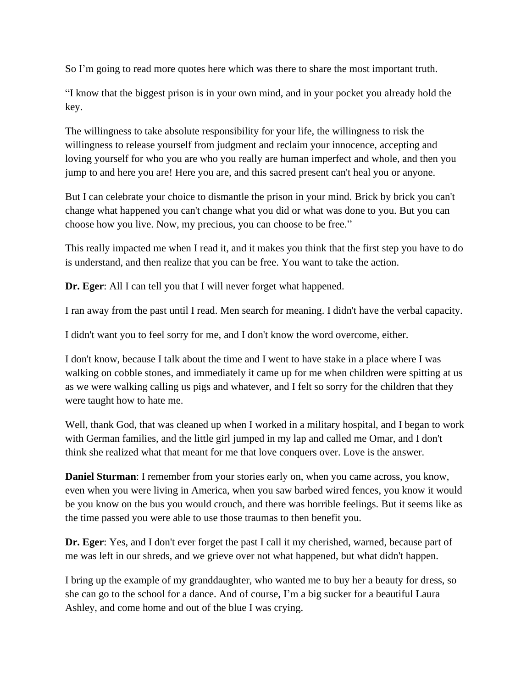So I'm going to read more quotes here which was there to share the most important truth.

"I know that the biggest prison is in your own mind, and in your pocket you already hold the key.

The willingness to take absolute responsibility for your life, the willingness to risk the willingness to release yourself from judgment and reclaim your innocence, accepting and loving yourself for who you are who you really are human imperfect and whole, and then you jump to and here you are! Here you are, and this sacred present can't heal you or anyone.

But I can celebrate your choice to dismantle the prison in your mind. Brick by brick you can't change what happened you can't change what you did or what was done to you. But you can choose how you live. Now, my precious, you can choose to be free."

This really impacted me when I read it, and it makes you think that the first step you have to do is understand, and then realize that you can be free. You want to take the action.

**Dr. Eger**: All I can tell you that I will never forget what happened.

I ran away from the past until I read. Men search for meaning. I didn't have the verbal capacity.

I didn't want you to feel sorry for me, and I don't know the word overcome, either.

I don't know, because I talk about the time and I went to have stake in a place where I was walking on cobble stones, and immediately it came up for me when children were spitting at us as we were walking calling us pigs and whatever, and I felt so sorry for the children that they were taught how to hate me.

Well, thank God, that was cleaned up when I worked in a military hospital, and I began to work with German families, and the little girl jumped in my lap and called me Omar, and I don't think she realized what that meant for me that love conquers over. Love is the answer.

**Daniel Sturman**: I remember from your stories early on, when you came across, you know, even when you were living in America, when you saw barbed wired fences, you know it would be you know on the bus you would crouch, and there was horrible feelings. But it seems like as the time passed you were able to use those traumas to then benefit you.

**Dr. Eger**: Yes, and I don't ever forget the past I call it my cherished, warned, because part of me was left in our shreds, and we grieve over not what happened, but what didn't happen.

I bring up the example of my granddaughter, who wanted me to buy her a beauty for dress, so she can go to the school for a dance. And of course, I'm a big sucker for a beautiful Laura Ashley, and come home and out of the blue I was crying.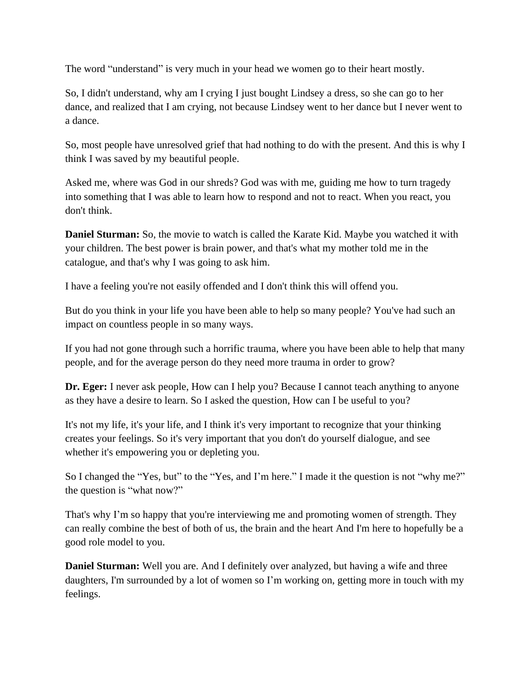The word "understand" is very much in your head we women go to their heart mostly.

So, I didn't understand, why am I crying I just bought Lindsey a dress, so she can go to her dance, and realized that I am crying, not because Lindsey went to her dance but I never went to a dance.

So, most people have unresolved grief that had nothing to do with the present. And this is why I think I was saved by my beautiful people.

Asked me, where was God in our shreds? God was with me, guiding me how to turn tragedy into something that I was able to learn how to respond and not to react. When you react, you don't think.

**Daniel Sturman:** So, the movie to watch is called the Karate Kid. Maybe you watched it with your children. The best power is brain power, and that's what my mother told me in the catalogue, and that's why I was going to ask him.

I have a feeling you're not easily offended and I don't think this will offend you.

But do you think in your life you have been able to help so many people? You've had such an impact on countless people in so many ways.

If you had not gone through such a horrific trauma, where you have been able to help that many people, and for the average person do they need more trauma in order to grow?

**Dr. Eger:** I never ask people, How can I help you? Because I cannot teach anything to anyone as they have a desire to learn. So I asked the question, How can I be useful to you?

It's not my life, it's your life, and I think it's very important to recognize that your thinking creates your feelings. So it's very important that you don't do yourself dialogue, and see whether it's empowering you or depleting you.

So I changed the "Yes, but" to the "Yes, and I'm here." I made it the question is not "why me?" the question is "what now?"

That's why I'm so happy that you're interviewing me and promoting women of strength. They can really combine the best of both of us, the brain and the heart And I'm here to hopefully be a good role model to you.

**Daniel Sturman:** Well you are. And I definitely over analyzed, but having a wife and three daughters, I'm surrounded by a lot of women so I'm working on, getting more in touch with my feelings.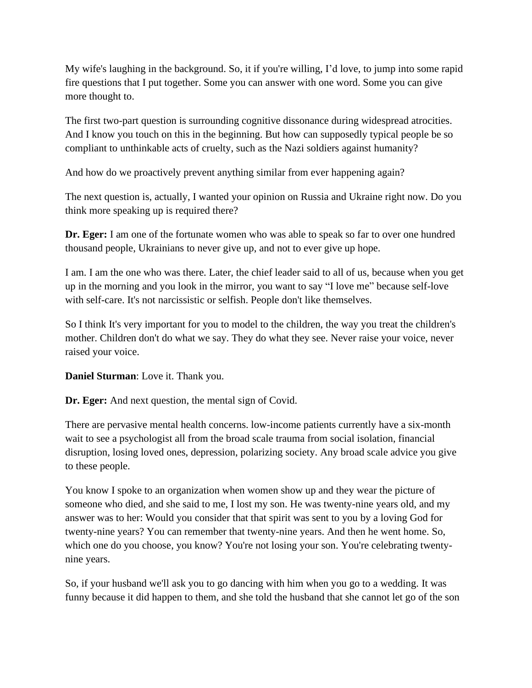My wife's laughing in the background. So, it if you're willing, I'd love, to jump into some rapid fire questions that I put together. Some you can answer with one word. Some you can give more thought to.

The first two-part question is surrounding cognitive dissonance during widespread atrocities. And I know you touch on this in the beginning. But how can supposedly typical people be so compliant to unthinkable acts of cruelty, such as the Nazi soldiers against humanity?

And how do we proactively prevent anything similar from ever happening again?

The next question is, actually, I wanted your opinion on Russia and Ukraine right now. Do you think more speaking up is required there?

**Dr. Eger:** I am one of the fortunate women who was able to speak so far to over one hundred thousand people, Ukrainians to never give up, and not to ever give up hope.

I am. I am the one who was there. Later, the chief leader said to all of us, because when you get up in the morning and you look in the mirror, you want to say "I love me" because self-love with self-care. It's not narcissistic or selfish. People don't like themselves.

So I think It's very important for you to model to the children, the way you treat the children's mother. Children don't do what we say. They do what they see. Never raise your voice, never raised your voice.

**Daniel Sturman**: Love it. Thank you.

**Dr. Eger:** And next question, the mental sign of Covid.

There are pervasive mental health concerns. low-income patients currently have a six-month wait to see a psychologist all from the broad scale trauma from social isolation, financial disruption, losing loved ones, depression, polarizing society. Any broad scale advice you give to these people.

You know I spoke to an organization when women show up and they wear the picture of someone who died, and she said to me, I lost my son. He was twenty-nine years old, and my answer was to her: Would you consider that that spirit was sent to you by a loving God for twenty-nine years? You can remember that twenty-nine years. And then he went home. So, which one do you choose, you know? You're not losing your son. You're celebrating twentynine years.

So, if your husband we'll ask you to go dancing with him when you go to a wedding. It was funny because it did happen to them, and she told the husband that she cannot let go of the son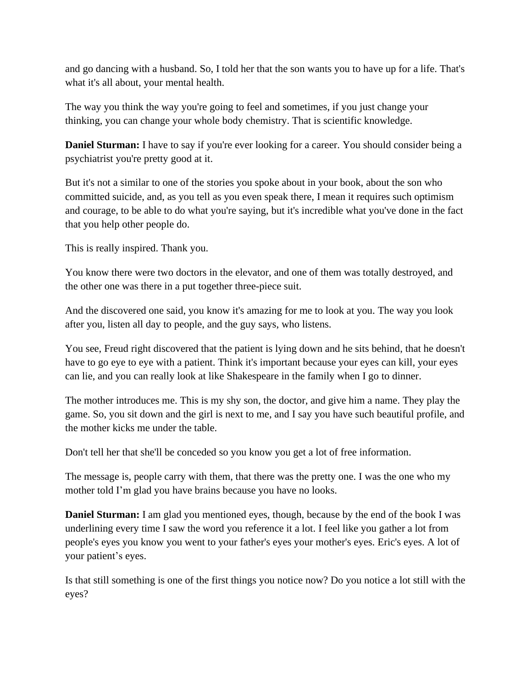and go dancing with a husband. So, I told her that the son wants you to have up for a life. That's what it's all about, your mental health.

The way you think the way you're going to feel and sometimes, if you just change your thinking, you can change your whole body chemistry. That is scientific knowledge.

**Daniel Sturman:** I have to say if you're ever looking for a career. You should consider being a psychiatrist you're pretty good at it.

But it's not a similar to one of the stories you spoke about in your book, about the son who committed suicide, and, as you tell as you even speak there, I mean it requires such optimism and courage, to be able to do what you're saying, but it's incredible what you've done in the fact that you help other people do.

This is really inspired. Thank you.

You know there were two doctors in the elevator, and one of them was totally destroyed, and the other one was there in a put together three-piece suit.

And the discovered one said, you know it's amazing for me to look at you. The way you look after you, listen all day to people, and the guy says, who listens.

You see, Freud right discovered that the patient is lying down and he sits behind, that he doesn't have to go eye to eye with a patient. Think it's important because your eyes can kill, your eyes can lie, and you can really look at like Shakespeare in the family when I go to dinner.

The mother introduces me. This is my shy son, the doctor, and give him a name. They play the game. So, you sit down and the girl is next to me, and I say you have such beautiful profile, and the mother kicks me under the table.

Don't tell her that she'll be conceded so you know you get a lot of free information.

The message is, people carry with them, that there was the pretty one. I was the one who my mother told I'm glad you have brains because you have no looks.

**Daniel Sturman:** I am glad you mentioned eyes, though, because by the end of the book I was underlining every time I saw the word you reference it a lot. I feel like you gather a lot from people's eyes you know you went to your father's eyes your mother's eyes. Eric's eyes. A lot of your patient's eyes.

Is that still something is one of the first things you notice now? Do you notice a lot still with the eyes?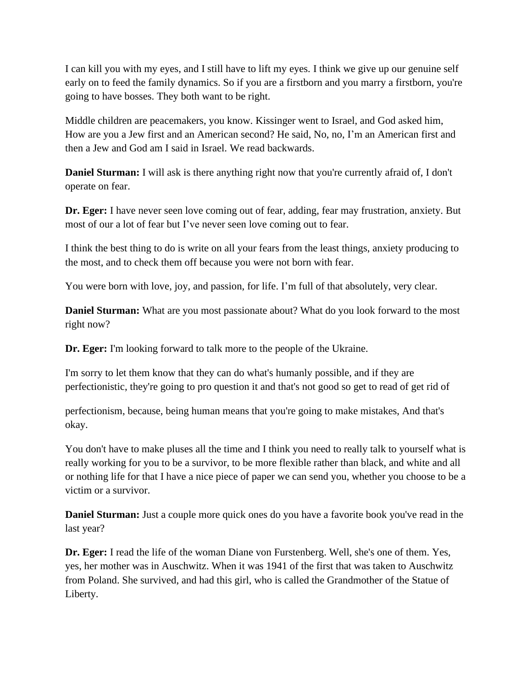I can kill you with my eyes, and I still have to lift my eyes. I think we give up our genuine self early on to feed the family dynamics. So if you are a firstborn and you marry a firstborn, you're going to have bosses. They both want to be right.

Middle children are peacemakers, you know. Kissinger went to Israel, and God asked him, How are you a Jew first and an American second? He said, No, no, I'm an American first and then a Jew and God am I said in Israel. We read backwards.

**Daniel Sturman:** I will ask is there anything right now that you're currently afraid of, I don't operate on fear.

**Dr. Eger:** I have never seen love coming out of fear, adding, fear may frustration, anxiety. But most of our a lot of fear but I've never seen love coming out to fear.

I think the best thing to do is write on all your fears from the least things, anxiety producing to the most, and to check them off because you were not born with fear.

You were born with love, joy, and passion, for life. I'm full of that absolutely, very clear.

**Daniel Sturman:** What are you most passionate about? What do you look forward to the most right now?

**Dr. Eger:** I'm looking forward to talk more to the people of the Ukraine.

I'm sorry to let them know that they can do what's humanly possible, and if they are perfectionistic, they're going to pro question it and that's not good so get to read of get rid of

perfectionism, because, being human means that you're going to make mistakes, And that's okay.

You don't have to make pluses all the time and I think you need to really talk to yourself what is really working for you to be a survivor, to be more flexible rather than black, and white and all or nothing life for that I have a nice piece of paper we can send you, whether you choose to be a victim or a survivor.

**Daniel Sturman:** Just a couple more quick ones do you have a favorite book you've read in the last year?

**Dr. Eger:** I read the life of the woman Diane von Furstenberg. Well, she's one of them. Yes, yes, her mother was in Auschwitz. When it was 1941 of the first that was taken to Auschwitz from Poland. She survived, and had this girl, who is called the Grandmother of the Statue of Liberty.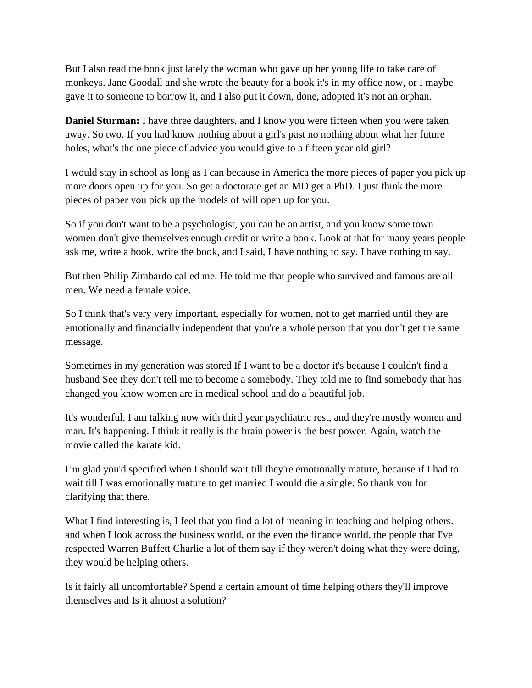But I also read the book just lately the woman who gave up her young life to take care of monkeys. Jane Goodall and she wrote the beauty for a book it's in my office now, or I maybe gave it to someone to borrow it, and I also put it down, done, adopted it's not an orphan.

**Daniel Sturman:** I have three daughters, and I know you were fifteen when you were taken away. So two. If you had know nothing about a girl's past no nothing about what her future holes, what's the one piece of advice you would give to a fifteen year old girl?

I would stay in school as long as I can because in America the more pieces of paper you pick up more doors open up for you. So get a doctorate get an MD get a PhD. I just think the more pieces of paper you pick up the models of will open up for you.

So if you don't want to be a psychologist, you can be an artist, and you know some town women don't give themselves enough credit or write a book. Look at that for many years people ask me, write a book, write the book, and I said, I have nothing to say. I have nothing to say.

But then Philip Zimbardo called me. He told me that people who survived and famous are all men. We need a female voice.

So I think that's very very important, especially for women, not to get married until they are emotionally and financially independent that you're a whole person that you don't get the same message.

Sometimes in my generation was stored If I want to be a doctor it's because I couldn't find a husband See they don't tell me to become a somebody. They told me to find somebody that has changed you know women are in medical school and do a beautiful job.

It's wonderful. I am talking now with third year psychiatric rest, and they're mostly women and man. It's happening. I think it really is the brain power is the best power. Again, watch the movie called the karate kid.

I'm glad you'd specified when I should wait till they're emotionally mature, because if I had to wait till I was emotionally mature to get married I would die a single. So thank you for clarifying that there.

What I find interesting is, I feel that you find a lot of meaning in teaching and helping others. and when I look across the business world, or the even the finance world, the people that I've respected Warren Buffett Charlie a lot of them say if they weren't doing what they were doing, they would be helping others.

Is it fairly all uncomfortable? Spend a certain amount of time helping others they'll improve themselves and Is it almost a solution?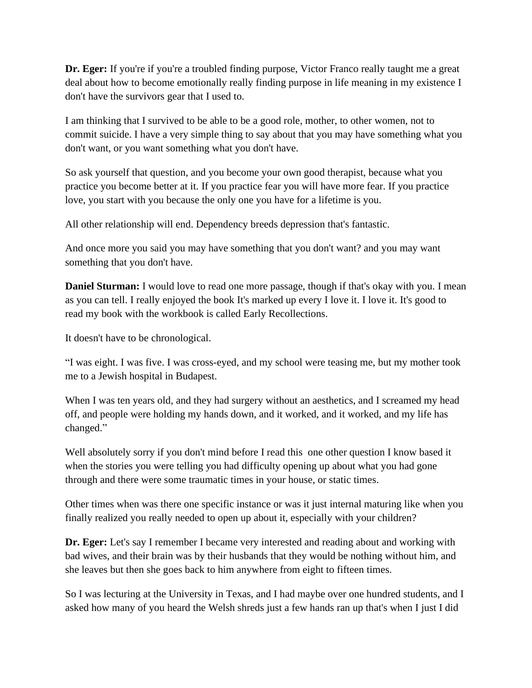**Dr. Eger:** If you're if you're a troubled finding purpose, Victor Franco really taught me a great deal about how to become emotionally really finding purpose in life meaning in my existence I don't have the survivors gear that I used to.

I am thinking that I survived to be able to be a good role, mother, to other women, not to commit suicide. I have a very simple thing to say about that you may have something what you don't want, or you want something what you don't have.

So ask yourself that question, and you become your own good therapist, because what you practice you become better at it. If you practice fear you will have more fear. If you practice love, you start with you because the only one you have for a lifetime is you.

All other relationship will end. Dependency breeds depression that's fantastic.

And once more you said you may have something that you don't want? and you may want something that you don't have.

**Daniel Sturman:** I would love to read one more passage, though if that's okay with you. I mean as you can tell. I really enjoyed the book It's marked up every I love it. I love it. It's good to read my book with the workbook is called Early Recollections.

It doesn't have to be chronological.

"I was eight. I was five. I was cross-eyed, and my school were teasing me, but my mother took me to a Jewish hospital in Budapest.

When I was ten years old, and they had surgery without an aesthetics, and I screamed my head off, and people were holding my hands down, and it worked, and it worked, and my life has changed."

Well absolutely sorry if you don't mind before I read this one other question I know based it when the stories you were telling you had difficulty opening up about what you had gone through and there were some traumatic times in your house, or static times.

Other times when was there one specific instance or was it just internal maturing like when you finally realized you really needed to open up about it, especially with your children?

**Dr. Eger:** Let's say I remember I became very interested and reading about and working with bad wives, and their brain was by their husbands that they would be nothing without him, and she leaves but then she goes back to him anywhere from eight to fifteen times.

So I was lecturing at the University in Texas, and I had maybe over one hundred students, and I asked how many of you heard the Welsh shreds just a few hands ran up that's when I just I did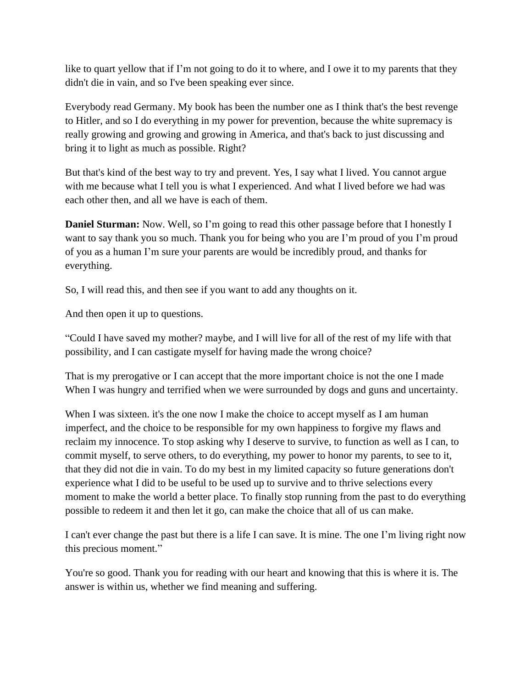like to quart yellow that if I'm not going to do it to where, and I owe it to my parents that they didn't die in vain, and so I've been speaking ever since.

Everybody read Germany. My book has been the number one as I think that's the best revenge to Hitler, and so I do everything in my power for prevention, because the white supremacy is really growing and growing and growing in America, and that's back to just discussing and bring it to light as much as possible. Right?

But that's kind of the best way to try and prevent. Yes, I say what I lived. You cannot argue with me because what I tell you is what I experienced. And what I lived before we had was each other then, and all we have is each of them.

**Daniel Sturman:** Now. Well, so I'm going to read this other passage before that I honestly I want to say thank you so much. Thank you for being who you are I'm proud of you I'm proud of you as a human I'm sure your parents are would be incredibly proud, and thanks for everything.

So, I will read this, and then see if you want to add any thoughts on it.

And then open it up to questions.

"Could I have saved my mother? maybe, and I will live for all of the rest of my life with that possibility, and I can castigate myself for having made the wrong choice?

That is my prerogative or I can accept that the more important choice is not the one I made When I was hungry and terrified when we were surrounded by dogs and guns and uncertainty.

When I was sixteen, it's the one now I make the choice to accept myself as I am human imperfect, and the choice to be responsible for my own happiness to forgive my flaws and reclaim my innocence. To stop asking why I deserve to survive, to function as well as I can, to commit myself, to serve others, to do everything, my power to honor my parents, to see to it, that they did not die in vain. To do my best in my limited capacity so future generations don't experience what I did to be useful to be used up to survive and to thrive selections every moment to make the world a better place. To finally stop running from the past to do everything possible to redeem it and then let it go, can make the choice that all of us can make.

I can't ever change the past but there is a life I can save. It is mine. The one I'm living right now this precious moment."

You're so good. Thank you for reading with our heart and knowing that this is where it is. The answer is within us, whether we find meaning and suffering.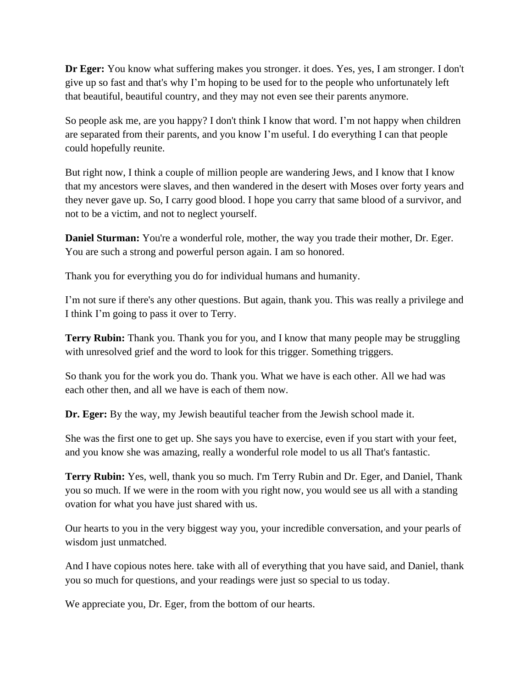**Dr Eger:** You know what suffering makes you stronger. it does. Yes, yes, I am stronger. I don't give up so fast and that's why I'm hoping to be used for to the people who unfortunately left that beautiful, beautiful country, and they may not even see their parents anymore.

So people ask me, are you happy? I don't think I know that word. I'm not happy when children are separated from their parents, and you know I'm useful. I do everything I can that people could hopefully reunite.

But right now, I think a couple of million people are wandering Jews, and I know that I know that my ancestors were slaves, and then wandered in the desert with Moses over forty years and they never gave up. So, I carry good blood. I hope you carry that same blood of a survivor, and not to be a victim, and not to neglect yourself.

**Daniel Sturman:** You're a wonderful role, mother, the way you trade their mother, Dr. Eger. You are such a strong and powerful person again. I am so honored.

Thank you for everything you do for individual humans and humanity.

I'm not sure if there's any other questions. But again, thank you. This was really a privilege and I think I'm going to pass it over to Terry.

**Terry Rubin:** Thank you. Thank you for you, and I know that many people may be struggling with unresolved grief and the word to look for this trigger. Something triggers.

So thank you for the work you do. Thank you. What we have is each other. All we had was each other then, and all we have is each of them now.

**Dr. Eger:** By the way, my Jewish beautiful teacher from the Jewish school made it.

She was the first one to get up. She says you have to exercise, even if you start with your feet, and you know she was amazing, really a wonderful role model to us all That's fantastic.

**Terry Rubin:** Yes, well, thank you so much. I'm Terry Rubin and Dr. Eger, and Daniel, Thank you so much. If we were in the room with you right now, you would see us all with a standing ovation for what you have just shared with us.

Our hearts to you in the very biggest way you, your incredible conversation, and your pearls of wisdom just unmatched.

And I have copious notes here. take with all of everything that you have said, and Daniel, thank you so much for questions, and your readings were just so special to us today.

We appreciate you, Dr. Eger, from the bottom of our hearts.